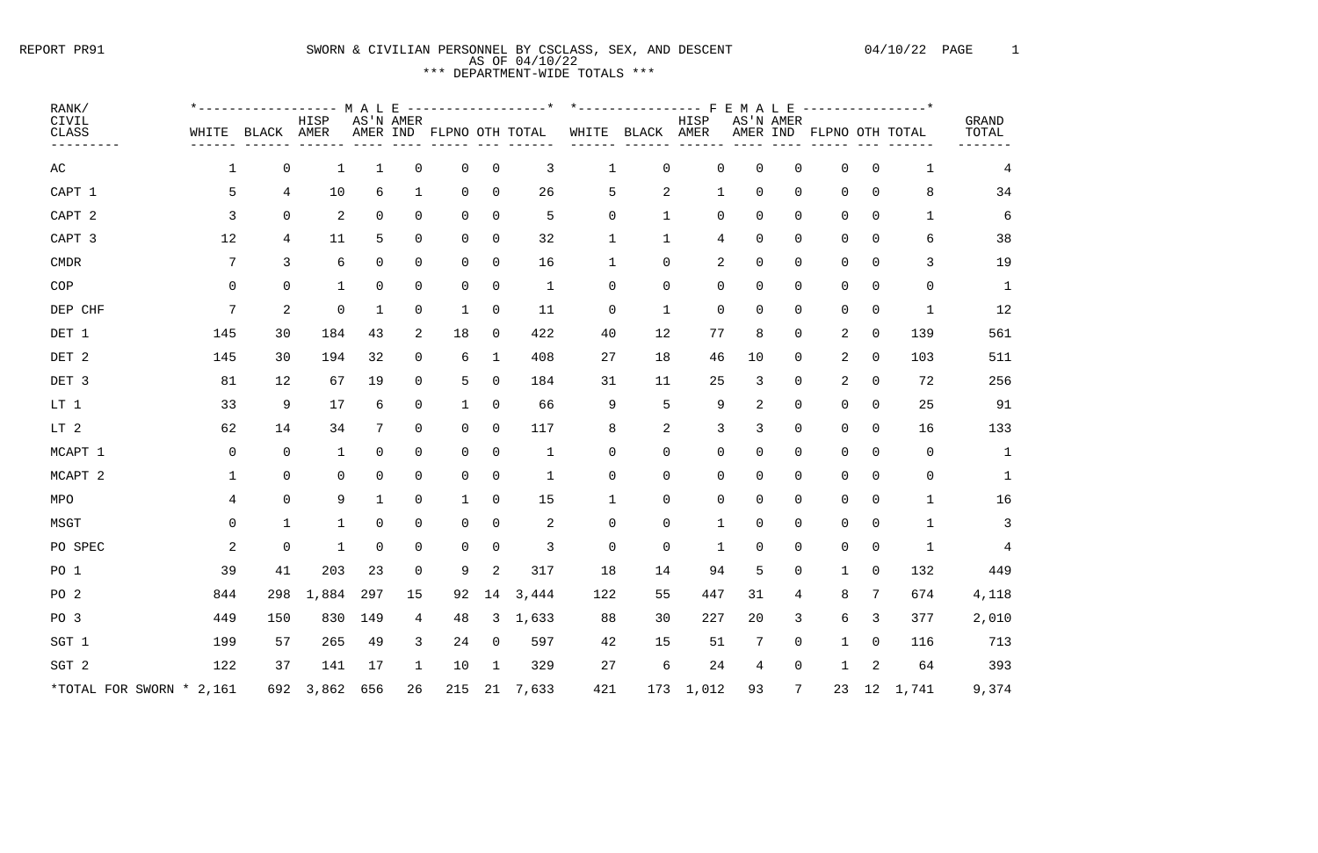# REPORT PR91 SWORN & CIVILIAN PERSONNEL BY CSCLASS, SEX, AND DESCENT 04/10/22 PAGE 1 AS OF 04/10/22 \*\*\* DEPARTMENT-WIDE TOTALS \*\*\*

| RANK/                        |              | *----------------- M A L E |                |          |                |                          |                | -----------------* |             | $*$ ---------------- F |                | E M A L E       |                 | ---------------*         |                |                |                |
|------------------------------|--------------|----------------------------|----------------|----------|----------------|--------------------------|----------------|--------------------|-------------|------------------------|----------------|-----------------|-----------------|--------------------------|----------------|----------------|----------------|
| CIVIL<br>CLASS               | WHITE        | BLACK                      | HISP<br>AMER   |          | AS'N AMER      | AMER IND FLPNO OTH TOTAL |                |                    | WHITE       | BLACK AMER             | HISP           |                 | AS'N AMER       | AMER IND FLPNO OTH TOTAL |                |                | GRAND<br>TOTAL |
|                              |              |                            |                |          |                |                          |                |                    |             |                        |                |                 |                 |                          |                |                |                |
| AC                           | 1            | $\mathsf 0$                | $\mathbf 1$    | 1        | $\mathbf 0$    | $\overline{0}$           | $\overline{0}$ | 3                  | 1           | $\overline{0}$         | 0              | $\overline{0}$  | 0               | 0                        | 0              | 1              | 4              |
| CAPT 1                       | 5            | 4                          | 10             | 6        | $\mathbf 1$    | $\overline{0}$           | 0              | 26                 | 5           | 2                      | $\mathbf{1}$   | $\overline{0}$  | 0               | 0                        | 0              | 8              | 34             |
| CAPT <sub>2</sub>            | 3            | $\mathsf 0$                | 2              | 0        | 0              | $\overline{0}$           | $\Omega$       | 5                  | 0           | 1                      | 0              | $\overline{0}$  | $\mathsf 0$     | 0                        | 0              | $\mathbf{1}$   |                |
| CAPT 3                       | 12           | 4                          | 11             | 5        | $\Omega$       | $\overline{0}$           | $\Omega$       | 32                 |             | 1                      | $\overline{4}$ | $\overline{0}$  | $\mathsf 0$     | 0                        | $\Omega$       | 6              | 38             |
| $\ensuremath{\mathrm{CMDR}}$ | 7            | 3                          | 6              | 0        | 0              | $\overline{0}$           | $\Omega$       | 16                 |             | $\overline{0}$         | $\overline{2}$ | $\overline{0}$  | $\mathsf 0$     | 0                        | $\Omega$       | 3              | 19             |
| COP                          | 0            | $\overline{0}$             | $\mathbf{1}$   | $\Omega$ | 0              | $\overline{0}$           | $\Omega$       | $\mathbf{1}$       | $\Omega$    | $\mathsf 0$            | 0              | $\overline{0}$  | 0               | 0                        | $\Omega$       | $\mathbf 0$    | $\mathbf{1}$   |
| DEP CHF                      | 7            | $\overline{2}$             | $\mathbf 0$    | 1        | 0              | $\mathbf 1$              | 0              | 11                 | 0           | 1                      | 0              | $\overline{0}$  | 0               | 0                        | 0              | 1              | 12             |
| DET 1                        | 145          | 30                         | 184            | 43       | $\overline{2}$ | 18                       | 0              | 422                | 40          | 12                     | 77             | 8               | 0               | 2                        | 0              | 139            | 561            |
| DET 2                        | 145          | 30                         | 194            | 32       | 0              | 6                        | 1              | 408                | 27          | 18                     | 46             | 10              | 0               | $\overline{a}$           | 0              | 103            | 511            |
| DET 3                        | 81           | 12                         | 67             | 19       | $\Omega$       | 5                        | $\mathbf 0$    | 184                | 31          | 11                     | 25             | 3               | 0               | $\overline{2}$           | $\overline{0}$ | 72             | 256            |
| LT 1                         | 33           | 9                          | 17             | 6        | 0              | 1                        | $\Omega$       | 66                 | 9           | 5                      | 9              | 2               | $\mathsf 0$     | 0                        | $\mathbf 0$    | 25             | 91             |
| LT 2                         | 62           | 14                         | 34             | 7        | $\Omega$       | $\overline{0}$           | $\mathbf 0$    | 117                | 8           | 2                      | 3              | 3               | 0               | 0                        | $\overline{0}$ | 16             | 133            |
| MCAPT 1                      | $\mathsf{O}$ | 0                          | $\mathbf 1$    | 0        | $\Omega$       | $\overline{0}$           | $\Omega$       | $\mathbf{1}$       | $\Omega$    | $\mathbf 0$            | 0              | $\overline{0}$  | $\overline{0}$  | 0                        | $\overline{0}$ | $\mathbf 0$    | 1              |
| MCAPT <sub>2</sub>           |              | $\mathbf 0$                | 0              | 0        | 0              | $\overline{0}$           | $\Omega$       | $\mathbf 1$        | 0           | $\mathsf 0$            | 0              | $\overline{0}$  | $\mathsf 0$     | 0                        | $\Omega$       | $\overline{0}$ |                |
| MPO                          | 4            | $\mathsf 0$                | 9              | 1        | 0              | 1                        | $\Omega$       | 15                 | 1           | $\mathsf 0$            | 0              | $\overline{0}$  | $\mathsf 0$     | 0                        | $\overline{0}$ | $\mathbf{1}$   | 16             |
| MSGT                         | 0            | 1                          | 1              | $\Omega$ | $\Omega$       | 0                        | $\Omega$       | $\overline{2}$     | $\Omega$    | $\mathsf 0$            | $\mathbf{1}$   | $\overline{0}$  | $\mathsf 0$     | 0                        | $\Omega$       | 1              |                |
| PO SPEC                      | 2            | $\mathbf 0$                | $\overline{1}$ | $\Omega$ | $\Omega$       | $\mathbf 0$              | $\Omega$       | 3                  | $\Omega$    | $\mathsf 0$            | $\mathbf{1}$   | $\mathbf 0$     | $\overline{0}$  | $\Omega$                 | $\Omega$       | $\mathbf{1}$   |                |
| PO <sub>1</sub>              | 39           | 41                         | 203            | 23       | 0              | 9                        | 2              | 317                | 18          | 14                     | 94             | 5               | $\mathsf 0$     | $\mathbf{1}$             | $\overline{0}$ | 132            | 449            |
| PO <sub>2</sub>              | 844          | 298                        | 1,884 297      |          | 15             | 92                       |                | 14 3,444           | 122         | 55                     | 447            | 31              | $\overline{4}$  | 8                        | 7              | 674            | 4,118          |
| PO <sub>3</sub>              | 449          | 150                        | 830            | 149      | $\overline{4}$ | 48                       |                | 3, 1, 633          | 88          | 30                     | 227            | 20              | $\mathbf{3}$    | $6\overline{6}$          | 3              | 377            | 2,010          |
| SGT 1                        | 199          | 57                         | 265            | 49       | $\mathbf{3}$   | 24                       | $\overline{0}$ | 597                | $4\sqrt{2}$ | 15                     | 51             | $7\phantom{.0}$ | $\overline{0}$  | $\mathbf{1}$             | $\mathsf{O}$   | 116            | 713            |
| SGT 2                        | 122          | 37                         | 141            | 17       | $\mathbf{1}$   | 10                       | 1              | 329                | 27          | $\epsilon$             | 24             | $\overline{4}$  | $\overline{0}$  | $\mathbf{1}$             | $\overline{a}$ | 64             | 393            |
| *TOTAL FOR SWORN * 2,161     |              | 692                        | 3,862          | 656      | 26             | 215                      | 21             | 7,633              | 421         |                        | 173 1,012      | 93              | $7\phantom{.0}$ |                          |                | 23 12 1,741    | 9,374          |

| <b>TOTAL</b>   |  |
|----------------|--|
| $\overline{4}$ |  |
| 34             |  |
| 6              |  |
| 38             |  |
| 19             |  |
| 1              |  |
| 12             |  |
| 561            |  |
| 511            |  |
| 256            |  |
| 91             |  |
| 133            |  |
| $\mathbf 1$    |  |
| 1              |  |
| 16             |  |
| 3              |  |
| 4              |  |
| 449            |  |
| 4,118          |  |
| 2,010          |  |
| 713            |  |
| 393            |  |
| 9,374          |  |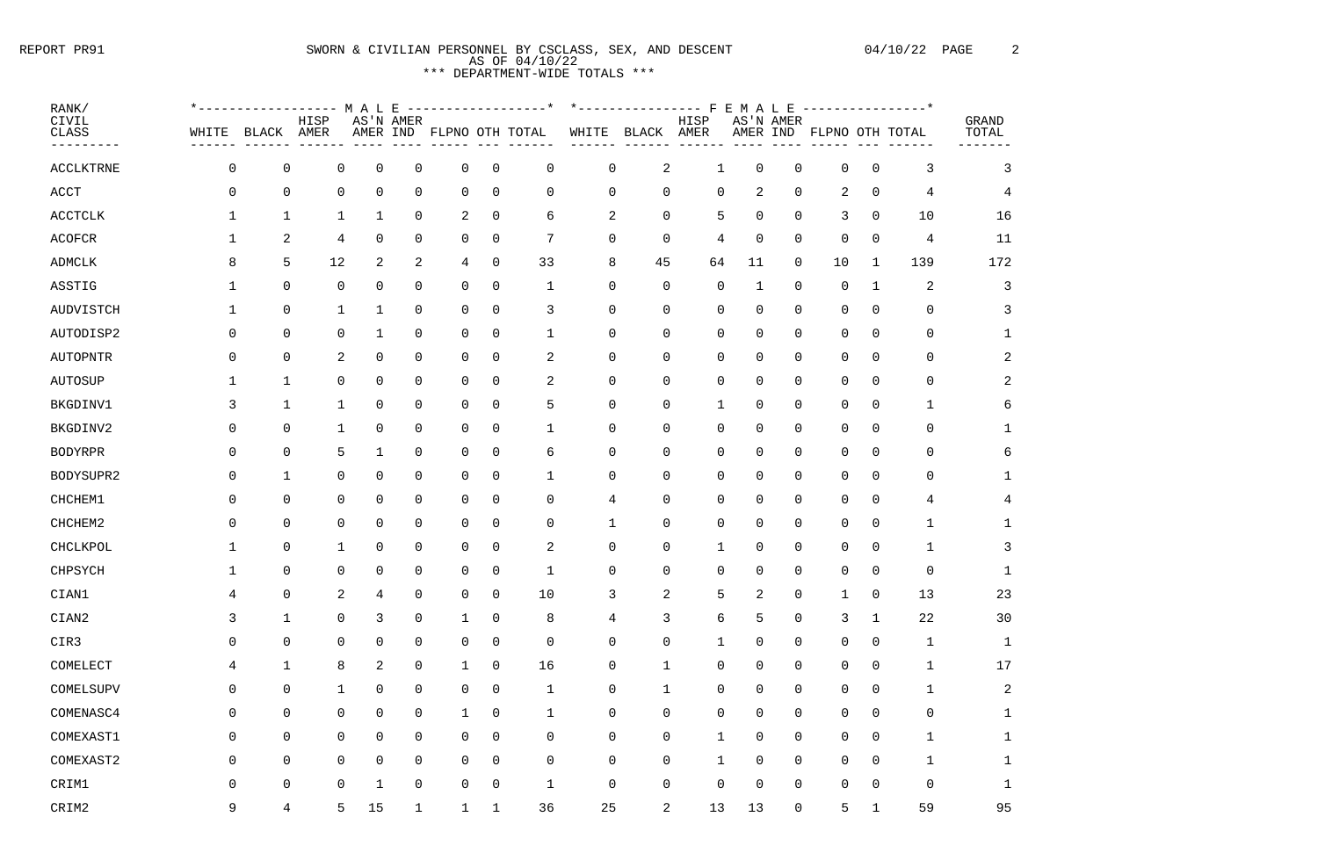## REPORT PR91 SWORN & CIVILIAN PERSONNEL BY CSCLASS, SEX, AND DESCENT 04/10/22 PAGE 2 AS OF 04/10/22 \*\*\* DEPARTMENT-WIDE TOTALS \*\*\*

| RANK/<br>CIVIL<br>CLASS  | $*$ $-$<br>WHITE | BLACK               | HISP<br>AMER        | MALE<br>AMER IND | AS'N AMER      |                |                | ---------------*<br>FLPNO OTH TOTAL | WHITE               | *--------------- F<br>BLACK | HISP<br>AMER | EMALE<br>AMER IND | AS'N AMER |                     |              | ---------------*<br>FLPNO OTH TOTAL | GRAND<br>TOTAL |
|--------------------------|------------------|---------------------|---------------------|------------------|----------------|----------------|----------------|-------------------------------------|---------------------|-----------------------------|--------------|-------------------|-----------|---------------------|--------------|-------------------------------------|----------------|
| <b>ACCLKTRNE</b>         | 0                | $\overline{0}$      | $\mathbf 0$         | $\overline{0}$   | $\mathbf 0$    | 0              | $\overline{0}$ | 0                                   | $\overline{0}$      | 2                           | 1            | 0                 | 0         | $\overline{0}$      | 0            | 3                                   | 3              |
| $\mathop{\mathrm{ACCT}}$ | O                | $\mathsf 0$         | $\mathsf 0$         | $\mathbf 0$      | $\mathbf 0$    | 0              | $\mathbf 0$    | 0                                   | $\mathbf 0$         | 0                           | 0            | 2                 | 0         | 2                   | 0            | 4                                   |                |
| <b>ACCTCLK</b>           |                  | 1                   | 1                   | 1                | $\overline{0}$ | 2              | $\mathbf 0$    | 6                                   | 2                   | 0                           | 5            | 0                 | 0         | 3                   | 0            | 10                                  | 16             |
| <b>ACOFCR</b>            |                  | 2                   | 4                   | 0                | $\mathbf 0$    | 0              | $\overline{0}$ | 7                                   | $\mathbf 0$         | 0                           | 4            | 0                 | 0         | 0                   | 0            | 4                                   | 11             |
| <b>ADMCLK</b>            |                  | 5                   | 12                  | $\sqrt{2}$       | $\overline{2}$ | 4              | $\mathbf 0$    | 33                                  | 8                   | 45                          | 64           | 11                | 0         | 10                  | 1            | 139                                 | 172            |
| ASSTIG                   |                  | $\overline{0}$      | $\mathbf 0$         | 0                | $\mathbf 0$    | 0              | $\overline{0}$ | 1                                   | $\Omega$            | 0                           | 0            | 1                 | 0         | $\overline{0}$      | 1            | 2                                   | 3              |
| <b>AUDVISTCH</b>         |                  | 0                   | 1                   | 1                | $\mathbf 0$    | 0              | 0              | 3                                   | $\Omega$            | $\Omega$                    | 0            | 0                 | 0         | 0                   | 0            | $\overline{0}$                      | 3              |
| AUTODISP2                | Ω                | $\overline{0}$      | $\mathsf 0$         | 1                | $\mathbf 0$    | 0              | $\overline{0}$ | $\mathbf 1$                         | $\overline{0}$      | 0                           | 0            | 0                 | 0         | $\mathbf 0$         | 0            | $\mathsf 0$                         |                |
| <b>AUTOPNTR</b>          | O                | $\mathbf 0$         | 2                   | $\mathsf 0$      | $\mathbf 0$    | 0              | $\mathbf 0$    | 2                                   | $\overline{0}$      | 0                           | 0            | 0                 | 0         | 0                   | 0            | 0                                   |                |
| <b>AUTOSUP</b>           |                  | 1                   | $\mathbf 0$         | 0                | $\mathbf 0$    | 0              | 0              | 2                                   | $\Omega$            | 0                           | 0            | 0                 | 0         | 0                   | 0            | 0                                   |                |
| BKGDINV1                 |                  | $1\,$               | 1                   | $\mathbf 0$      | $\mathbf 0$    | 0              | $\overline{0}$ | 5                                   | $\mathbf 0$         | 0                           | 1            | 0                 | 0         | 0                   | 0            |                                     |                |
| BKGDINV2                 | O                | 0                   | 1                   | 0                | $\mathbf 0$    | 0              | 0              | 1                                   | 0                   | 0                           | 0            | 0                 | 0         | 0                   | 0            | 0                                   |                |
| <b>BODYRPR</b>           | $\left( \right)$ | 0                   | 5                   | 1                | $\mathbf 0$    | 0              | $\Omega$       | 6                                   | $\Omega$            | $\Omega$                    | 0            | 0                 | 0         | 0                   | 0            | 0                                   |                |
| BODYSUPR2                | O                | $\mathbf{1}$        | $\mathbf 0$         | $\mathbf 0$      | $\mathbf 0$    | 0              | $\overline{0}$ | $\mathbf 1$                         | $\overline{0}$      | 0                           | 0            | 0                 | 0         | $\overline{0}$      | 0            | $\mathsf 0$                         |                |
| CHCHEM1                  | O                | $\mathsf 0$         | $\overline{0}$      | $\mathbf 0$      | $\mathbf 0$    | 0              | $\overline{0}$ | 0                                   | 4                   | 0                           | 0            | 0                 | 0         | $\overline{0}$      | 0            | 4                                   |                |
| CHCHEM2                  |                  | $\mathsf 0$         | $\mathbf 0$         | $\mathbf 0$      | $\mathbf 0$    | 0              | 0              | $\Omega$                            | 1                   | 0                           | 0            | 0                 | 0         | 0                   | 0            |                                     |                |
| CHCLKPOL                 |                  | $\mathsf 0$         | $\mathbf 1$         | $\mathbf 0$      | $\mathbf 0$    | 0              | 0              | 2                                   | 0                   | 0                           | 1            | 0                 | 0         | 0                   | 0            |                                     |                |
| CHPSYCH                  |                  | $\mathbf 0$         | 0                   | 0                | 0              | 0              | 0              | 1                                   | 0                   | 0                           | 0            | 0                 | 0         | 0                   | 0            | 0                                   |                |
| CIAN1                    | 4                | $\mathsf 0$         | $\overline{c}$      | 4                | $\mathbf 0$    | $\mathbf 0$    | $\mathbf 0$    | 10                                  | 3                   | 2                           | 5            | 2                 | 0         | 1                   | 0            | 13                                  | 23             |
| CIAN2                    | $\mathsf{3}$     | $\mathbf 1$         | $\mathsf 0$         | $\mathsf{3}$     | $\mathsf 0$    | $\mathbf 1$    | $\mathsf 0$    | 8                                   | $\overline{4}$      | 3                           | 6            | 5                 | 0         | $\mathbf{3}$        | $\mathbf{1}$ | $2\sqrt{2}$                         | 30             |
| CIR3                     | $\mathsf{O}$     | $\mathsf{O}\xspace$ | $\mathsf{O}\xspace$ | $\mathsf 0$      | $\mathsf 0$    | $\mathsf{O}$   | $\mathbf 0$    | $\overline{0}$                      | $\mathsf 0$         | 0                           | $\mathbf 1$  | 0                 | 0         | $\mathsf 0$         | 0            | $\mathbf{1}$                        | $\mathbf 1$    |
| COMELECT                 | 4                | $\mathbf 1$         | $\,8\,$             | $\sqrt{2}$       | $\mathsf 0$    | $\mathbf{1}$   | $\mathbf 0$    | 16                                  | $\mathsf 0$         | $\mathbf 1$                 | 0            | 0                 | 0         | $\mathsf 0$         | 0            | $\mathbf{1}$                        | 17             |
| COMELSUPV                | $\boldsymbol{0}$ | $\mathsf 0$         | $1\,$               | $\mathsf 0$      | $\mathsf 0$    | $\mathsf{O}$   | $\mathsf 0$    | $1\,$                               | $\mathsf{O}\xspace$ | $1\,$                       | 0            | 0                 | 0         | $\mathsf{O}\xspace$ | 0            | $\mathbf{1}$                        | $\sqrt{2}$     |
| COMENASC4                | $\boldsymbol{0}$ | $\overline{0}$      | $\mathsf 0$         | $\mathsf 0$      | $\mathsf 0$    | $\mathbf 1$    | $\mathsf 0$    | $\mathbf 1$                         | $\mathsf 0$         | 0                           | 0            | 0                 | 0         | $\mathsf 0$         | 0            | $\mathsf{O}$                        | 1              |
| COMEXAST1                | $\overline{0}$   | $\mathsf{O}\xspace$ | $\mathbf 0$         | $\overline{0}$   | $\overline{0}$ | $\overline{0}$ | $\mathbf 0$    | 0                                   | $\mathsf 0$         | 0                           | $\mathbf 1$  | 0                 | 0         | $\mathbf 0$         | 0            | $\mathbf 1$                         | 1              |
| COMEXAST2                | $\mathsf 0$      | $\mathsf 0$         | $\mathsf 0$         | $\mathsf 0$      | $\mathsf 0$    | $\mathsf{O}$   | $\mathsf 0$    | $\boldsymbol{0}$                    | $\mathsf{O}\xspace$ | $\mathsf 0$                 | $\mathbf 1$  | 0                 | 0         | $\mathsf 0$         | 0            | $\mathbf{1}$                        | 1              |
| CRIM1                    | $\boldsymbol{0}$ | $\mathsf{O}\xspace$ | $\mathsf 0$         | $\mathbf 1$      | $\mathbf 0$    | $\mathsf{O}$   | $\mathbf 0$    | $\mathbf 1$                         | $\mathsf 0$         | $\boldsymbol{0}$            | 0            | 0                 | 0         | $\mathsf 0$         | 0            | $\mathbf 0$                         | $\mathbf 1$    |
| CRIM2                    | 9                | $\overline{4}$      | 5                   | 15               | 1              | 1              | 1              | 36                                  | 25                  | 2                           | 13           | 13                | 0         | 5                   | 1            | 59                                  | 95             |

| <b>GRAND</b><br><b>TOTAL</b> |  |
|------------------------------|--|
| 3                            |  |
| $\overline{4}$               |  |
| 16                           |  |
| 11                           |  |
| 172                          |  |
| 3                            |  |
| 3                            |  |
| $\mathbf{1}$                 |  |
| $\overline{\mathbf{c}}$      |  |
| $\overline{\mathbf{c}}$      |  |
| 6                            |  |
| $\mathbf{1}$                 |  |
| 6                            |  |
| $\mathbf{1}$                 |  |
| $\overline{4}$               |  |
| $\mathbf{1}$                 |  |
| 3                            |  |
| $\mathbf{1}$                 |  |
| 23                           |  |
| 30                           |  |
| $\mathbf{1}$                 |  |
| 17                           |  |
| $\overline{a}$               |  |
| $\mathbf{1}$                 |  |
| $\mathbf{1}$                 |  |
| $\mathbf{1}$                 |  |
| $\mathbf{1}$                 |  |
| Е                            |  |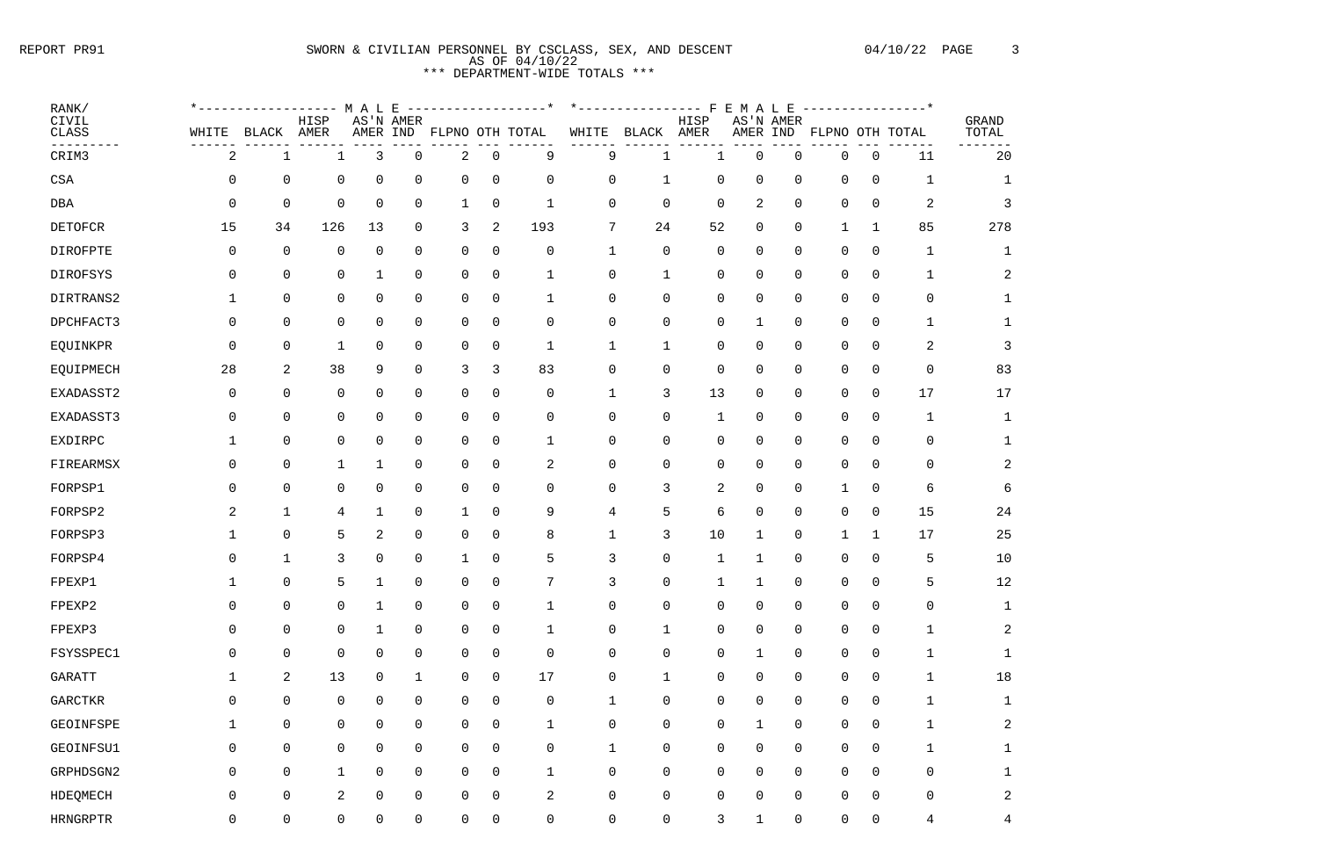# REPORT PR91 SWORN & CIVILIAN PERSONNEL BY CSCLASS, SEX, AND DESCENT 04/10/22 PAGE 3 AS OF 04/10/22 \*\*\* DEPARTMENT-WIDE TOTALS \*\*\*

| RANK/<br>CIVIL                   |                | ----------------        | HISP                | M A L          | E<br>AS'N AMER      |              |                | ------------------* |             | *---------------- F | HISP                | $\mathbf{E}$<br>M<br>A | L E<br>AS'N AMER |              |                | ---------------* | GRAND |
|----------------------------------|----------------|-------------------------|---------------------|----------------|---------------------|--------------|----------------|---------------------|-------------|---------------------|---------------------|------------------------|------------------|--------------|----------------|------------------|-------|
| <b>CLASS</b>                     | WHITE          | BLACK                   | AMER                | AMER IND       |                     |              |                | FLPNO OTH TOTAL     | WHITE       | BLACK               | AMER                | AMER IND               |                  |              |                | FLPNO OTH TOTAL  | TOTAL |
| CRIM3                            | $\overline{a}$ | $\mathbf{1}$            | $\mathbf 1$         | 3              | $\mathbf 0$         | 2            | $\mathbf 0$    | 9                   | 9           |                     |                     | 0                      | 0                | 0            | $\overline{0}$ | $11\,$           | 20    |
| $_{\footnotesize{\texttt{CSA}}}$ | 0              | $\mathbf 0$             | $\mathbf 0$         | $\mathbf 0$    | $\overline{0}$      | $\mathbf 0$  | $\mathbf 0$    | 0                   | 0           | $\mathbf 1$         | $\mathsf 0$         | 0                      | 0                | 0            | $\mathsf 0$    | $\mathbf 1$      |       |
| DBA                              | 0              | $\mathbf 0$             | $\overline{0}$      | $\mathbf 0$    | $\mathsf{O}$        | 1            | $\overline{0}$ | $\mathbf{1}$        | 0           | 0                   | $\mathbf 0$         | 2                      | 0                | 0            | $\overline{0}$ | 2                |       |
| <b>DETOFCR</b>                   | 15             | 34                      | 126                 | 13             | 0                   | 3            | 2              | 193                 | 7           | 24                  | 52                  | 0                      | 0                | $\mathbf{1}$ | $\mathbf 1$    | 85               | 278   |
| DIROFPTE                         | 0              | $\mathbf 0$             | $\overline{0}$      | $\mathbf 0$    | $\overline{0}$      | $\mathbf 0$  | 0              | 0                   | $\mathbf 1$ | 0                   | $\mathbf 0$         | 0                      | 0                | 0            | $\overline{0}$ | $\mathbf 1$      |       |
| DIROFSYS                         | 0              | $\mathsf{O}$            | $\mathbf 0$         | 1              | $\overline{0}$      | $\mathsf{O}$ | $\Omega$       |                     | 0           | 1                   | $\mathsf{O}$        | 0                      | 0                | 0            | 0              | 1                |       |
| DIRTRANS2                        |                | $\mathsf{O}$            | $\mathbf 0$         | $\mathbf 0$    | $\mathsf{O}$        | $\mathbf 0$  | $\mathbf 0$    | $\mathbf 1$         | 0           | 0                   | $\mathsf{O}$        | 0                      | 0                | 0            | $\mathbf 0$    | 0                |       |
| DPCHFACT3                        | 0              | $\mathbf 0$             | $\mathbf 0$         | $\mathbf 0$    | $\mathbf 0$         | $\mathbf 0$  | $\mathbf 0$    | 0                   | 0           | 0                   | 0                   | $\mathbf{1}$           | 0                | 0            | $\mathbf 0$    | 1                |       |
| EQUINKPR                         | 0              | $\mathbf 0$             | $\mathbf 1$         | $\mathbf 0$    | $\mathsf{O}$        | 0            | 0              | $\mathbf{1}$        | $\mathbf 1$ | $\mathbf{1}$        | 0                   | 0                      | 0                | 0            | 0              | 2                |       |
| EQUIPMECH                        | 28             | $\overline{a}$          | 38                  | 9              | $\mathsf{O}$        | 3            | 3              | 83                  | 0           | 0                   | $\boldsymbol{0}$    | 0                      | 0                | 0            | $\mathsf 0$    | $\mathsf{O}$     | 83    |
| EXADASST2                        | 0              | $\mathbf 0$             | $\mathsf 0$         | $\mathbf 0$    | $\mathbf 0$         | 0            | 0              | 0                   | $\mathbf 1$ | 3                   | 13                  | 0                      | 0                | 0            | 0              | 17               | 17    |
| EXADASST3                        | 0              | 0                       | $\mathbf 0$         | $\mathbf 0$    | $\mathbf 0$         | $\mathsf{O}$ | $\Omega$       | 0                   | 0           | 0                   | $\mathbf 1$         | 0                      | 0                | 0            | 0              | $\mathbf 1$      |       |
| EXDIRPC                          |                | 0                       | $\mathbf 0$         | $\mathbf 0$    | $\mathsf{O}$        | $\mathsf{O}$ | $\mathbf 0$    | 1                   | 0           | 0                   | $\mathsf{O}$        | 0                      | 0                | 0            | $\mathbf 0$    | 0                |       |
| FIREARMSX                        | 0              | $\mathbf 0$             | $\mathbf 1$         | $\mathbf 1$    | $\mathbf 0$         | $\mathsf{O}$ | $\mathbf 0$    | 2                   | 0           | 0                   | 0                   | 0                      | 0                | 0            | $\mathbf 0$    | 0                |       |
| FORPSP1                          | 0              | $\mathbf 0$             | $\mathsf 0$         | $\mathbf 0$    | $\mathsf{O}$        | 0            | $\Omega$       | 0                   | 0           | 3                   | 2                   | 0                      | 0                | $\mathbf 1$  | $\mathbf 0$    | 6                |       |
| FORPSP2                          | 2              | $\mathbf 1$             | $\overline{4}$      | 1              | $\mathbf 0$         | 1            | 0              | 9                   | 4           | 5                   | 6                   | 0                      | 0                | 0            | 0              | 15               | 24    |
| FORPSP3                          |                | 0                       | 5                   | $\overline{2}$ | $\mathbf 0$         | $\mathbf 0$  | $\Omega$       | 8                   | 1           | 3                   | $10$                | 1                      | 0                |              | $\mathbf 1$    | 17               | 25    |
| FORPSP4                          | 0              | $\mathbf{1}$            | 3                   | $\overline{0}$ | $\overline{0}$      |              | $\Omega$       | 5                   | 3           | 0                   | 1                   | -1                     | 0                | 0            | $\Omega$       | 5                | 10    |
| FPEXP1                           | $\mathbf{1}$   | $\overline{0}$          | 5                   | $\mathbf{1}$   | $\overline{0}$      | $\mathbf 0$  | 0              | 7                   | 3           | $\mathsf{O}$        | $\mathbf{1}$        | $\mathbf{I}$           | $\overline{0}$   |              | $0\qquad 0$    | 5                | 12    |
| FPEXP2                           | 0              | $\overline{0}$          | $\mathsf{O}\xspace$ | $\mathbf 1$    | $\mathsf 0$         | 0            | $\mathsf 0$    | $\mathbf 1$         | 0           | 0                   | $\boldsymbol{0}$    | 0                      | 0                | 0            | $\mathsf 0$    | 0                |       |
| FPEXP3                           | $\mathsf 0$    | $\mathsf 0$             | $\mathsf{O}\xspace$ | $\mathbf 1$    | $\mathsf{O}\xspace$ | $\mathsf{O}$ | $\mathsf 0$    | $\mathbf 1$         | 0           | 1                   | $\mathsf{O}\xspace$ | $\mathsf 0$            | 0                | $\mathsf{O}$ | $\mathsf 0$    | 1                |       |
| FSYSSPEC1                        | 0              | $\mathsf 0$             | $\mathsf{O}\xspace$ | $\mathsf 0$    | $\mathsf{O}\xspace$ | $\mathsf{O}$ | $\mathsf 0$    | 0                   | 0           | 0                   | $\boldsymbol{0}$    | $\mathbf 1$            | 0                | 0            | $\mathsf 0$    | $\mathbf 1$      |       |
| <b>GARATT</b>                    | $\mathbf 1$    | $\overline{\mathbf{c}}$ | 13                  | $\mathsf 0$    | $\mathbf 1$         | 0            | $\mathsf 0$    | $17$                | 0           | 1                   | $\mathsf{O}\xspace$ | 0                      | 0                | 0            | $\mathsf 0$    | $\mathbf 1$      | 18    |
| <b>GARCTKR</b>                   | 0              | $\mathsf{O}\xspace$     | $\mathsf{O}$        | $\mathsf 0$    | $\mathsf{O}$        | 0            | 0              | 0                   | $\mathbf 1$ | 0                   | $\mathsf{O}\xspace$ | $\mathsf 0$            | 0                | 0            | $\mathsf 0$    | $\mathbf 1$      |       |
| GEOINFSPE                        | $\mathbf 1$    | $\mathsf 0$             | $\mathsf{O}$        | $\mathsf 0$    | $\mathsf{O}$        | $\mathsf{O}$ | $\mathbf 0$    | 1                   | 0           | 0                   | $\mathsf{O}\xspace$ | $\mathbf 1$            | 0                | 0            | $\mathsf 0$    | $\mathbf 1$      |       |
| GEOINFSU1                        | 0              | $\overline{0}$          | $\mathsf{O}\xspace$ | $\mathsf 0$    | $\mathsf{O}$        | 0            | $\mathsf 0$    | 0                   | $\mathbf 1$ | 0                   | $\mathsf{O}\xspace$ | 0                      | 0                | 0            | 0              | $\mathbf 1$      |       |
| GRPHDSGN2                        | 0              | $\mathsf{O}\xspace$     | $1\,$               | $\mathsf 0$    | $\mathsf{O}\xspace$ | $\mathsf{O}$ | 0              | $\mathbf 1$         | 0           | 0                   | $\mathsf{O}\xspace$ | 0                      | 0                | 0            | $\mathsf 0$    | $\boldsymbol{0}$ |       |
| HDEQMECH                         | 0              | $\mathsf 0$             | $\overline{a}$      | $\mathbf 0$    | $\mathsf 0$         | $\mathsf{O}$ | $\mathbf 0$    | 2                   | 0           | 0                   | $\boldsymbol{0}$    | 0                      | 0                | 0            | $\mathsf 0$    | $\boldsymbol{0}$ |       |
| <b>HRNGRPTR</b>                  | 0              | $\mathsf{O}\xspace$     | $\mathsf{O}\xspace$ | $\mathbf 0$    | $\mathsf 0$         | $\mathsf{O}$ | 0              | 0                   | 0           | 0                   | 3                   |                        | 0                | 0            | $\mathbf 0$    | 4                | 4     |

| RAND<br>'OTAL  |  |
|----------------|--|
| í<br>20        |  |
| $\mathbf 1$    |  |
| 3              |  |
| 278            |  |
| 1              |  |
| $\overline{c}$ |  |
| $\mathbf 1$    |  |
| $\mathbf 1$    |  |
| 3              |  |
| 83             |  |
| 17             |  |
| 1              |  |
| $\mathbf 1$    |  |
| $\overline{a}$ |  |
| 6              |  |
| 24             |  |
| 25             |  |
| 10             |  |
| 12             |  |
| 1              |  |
| $\overline{c}$ |  |
| $\mathbf 1$    |  |
| 18             |  |
| 1              |  |
| $\overline{c}$ |  |
| $\mathbf{1}$   |  |
| $\mathbf 1$    |  |
| $\overline{c}$ |  |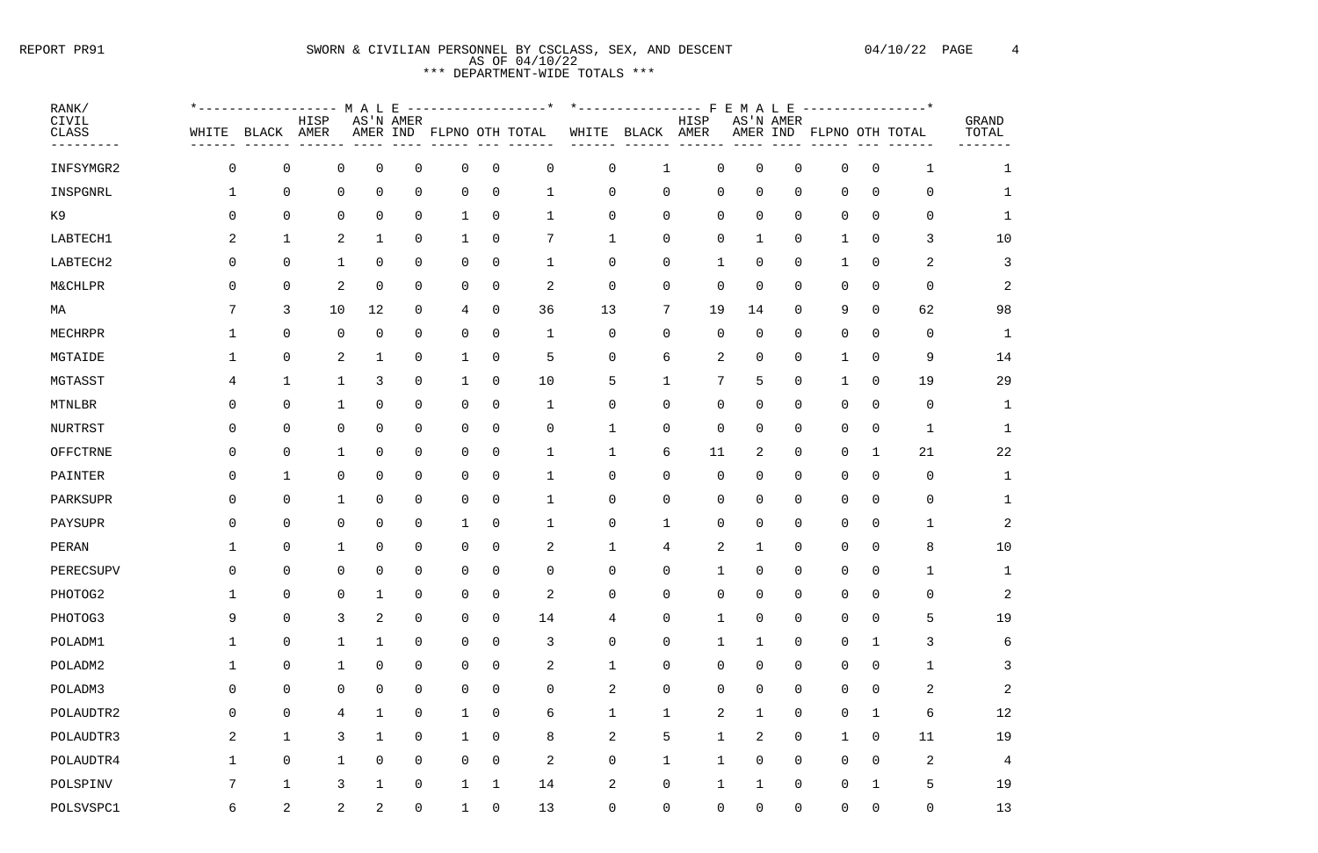# REPORT PR91 SWORN & CIVILIAN PERSONNEL BY CSCLASS, SEX, AND DESCENT 04/10/22 PAGE 4 AS OF 04/10/22 \*\*\* DEPARTMENT-WIDE TOTALS \*\*\*

| RANK/                       |                |                |      |                               |                |                |                |                          |                |                  |                |                |             |                          |                | ---------------* |                           |
|-----------------------------|----------------|----------------|------|-------------------------------|----------------|----------------|----------------|--------------------------|----------------|------------------|----------------|----------------|-------------|--------------------------|----------------|------------------|---------------------------|
| CIVIL<br>CLASS<br>--------- | WHITE          | BLACK AMER     | HISP |                               | AS'N AMER      |                |                | AMER IND FLPNO OTH TOTAL |                | WHITE BLACK AMER | HISP<br>------ |                | AS'N AMER   | AMER IND FLPNO OTH TOTAL |                |                  | GRAND<br>TOTAL<br>------- |
| INFSYMGR2                   | 0              | $\mathsf{O}$   |      | 0<br>0                        | 0              | $\mathsf{O}$   | $\overline{0}$ | $\mathbf 0$              | 0              |                  | $\mathsf{O}$   | $\mathbf 0$    | $\mathbf 0$ | 0                        | 0              |                  | $\mathbf{1}$              |
| INSPGNRL                    | $\mathbf 1$    | $\overline{0}$ |      | $\overline{0}$<br>0           | $\overline{0}$ | $\overline{0}$ | $\overline{0}$ | $\mathbf 1$              | 0              | 0                | $\overline{0}$ | $\mathbf 0$    | $\mathbf 0$ | $\mathsf{O}$             | $\overline{0}$ | $\overline{0}$   | 1                         |
| K9                          | 0              | $\mathsf{O}$   |      | $\overline{0}$<br>0           | 0              | $\mathbf{1}$   | $\overline{0}$ | 1                        | 0              | 0                | $\mathsf{O}$   | $\mathbf 0$    | 0           | 0                        | $\overline{0}$ | $\overline{0}$   | 1                         |
| LABTECH1                    | 2              | $\mathbf{1}$   |      | 2<br>$\mathbf 1$              | 0              | $\mathbf 1$    | $\overline{0}$ | 7                        | $\mathbf{1}$   | 0                | $\mathsf{O}$   | 1              | 0           |                          | $\overline{0}$ | $\mathsf{3}$     | 10                        |
| LABTECH2                    | 0              | 0              |      | 0                             | $\overline{0}$ | $\mathsf{O}$   | $\overline{0}$ | $\mathbf 1$              | $\mathsf{O}$   | 0                | 1              | $\mathbf 0$    | 0           |                          | $\overline{0}$ | 2                | 3                         |
| <b>M&amp;CHLPR</b>          | 0              | 0              |      | 2<br>0                        | 0              | $\overline{0}$ | $\overline{0}$ | $\overline{c}$           | 0              | 0                | $\overline{0}$ | $\mathbf 0$    | 0           | $\Omega$                 | $\mathbf 0$    | $\overline{0}$   | $\overline{2}$            |
| МA                          | 7              | 3              | 10   | 12                            | $\overline{0}$ | 4              | $\overline{0}$ | 36                       | 13             | $7\phantom{.}$   | 19             | 14             | 0           | 9                        | 0              | 62               | 98                        |
| MECHRPR                     | 1              | $\overline{0}$ |      | $\overline{0}$<br>0           | $\overline{0}$ | $\overline{0}$ | $\overline{0}$ | $\mathbf{1}$             | $\mathsf{O}$   | 0                | $\overline{0}$ | $\mathbf 0$    | 0           | $\mathsf{O}$             | $\overline{0}$ | $\overline{0}$   | $\mathbf 1$               |
| MGTAIDE                     | -1             | $\mathsf{O}$   |      | 2<br>$\mathbf 1$              | 0              | $\mathbf{1}$   | $\overline{0}$ | 5                        | 0              | 6                | $\overline{a}$ | $\mathbf 0$    | 0           |                          | $\overline{0}$ | 9                | 14                        |
| MGTASST                     | 4              | $\mathbf 1$    |      | 3                             | 0              | $\mathbf 1$    | $\overline{0}$ | 10                       | 5              | 1                | 7              | 5              | 0           |                          | $\overline{0}$ | 19               | 29                        |
| MTNLBR                      | 0              | 0              |      | 0<br>$\mathbf 1$              | $\overline{0}$ | 0              | $\overline{0}$ | $\mathbf 1$              | 0              | 0                | $\overline{0}$ | $\mathbf 0$    | 0           | 0                        | $\overline{0}$ | $\overline{0}$   | $\mathbf 1$               |
| NURTRST                     | 0              | 0              |      | 0<br>$\mathsf{O}$             | $\overline{0}$ | $\overline{0}$ | $\overline{0}$ | $\overline{0}$           | $\mathbf{1}$   | 0                | $\overline{0}$ | $\overline{0}$ | 0           | 0                        | $\overline{0}$ | $\mathbf{1}$     | $\mathbf 1$               |
| OFFCTRNE                    | 0              | 0              |      | 0<br>$\mathbf 1$              | 0              | $\mathbf 0$    | $\overline{0}$ | 1                        | $\mathbf{1}$   | 6                | 11             | 2              | 0           | 0                        | $\mathbf 1$    | 21               | 22                        |
| PAINTER                     | 0              | $\mathbf{1}$   |      | $\overline{0}$<br>0           | $\overline{0}$ | $\overline{0}$ | $\overline{0}$ | 1                        | 0              | 0                | $\mathsf{O}$   | $\mathbf 0$    | 0           | 0                        | $\overline{0}$ | $\mathbf 0$      | $\mathbf 1$               |
| PARKSUPR                    | 0              | 0              |      | 0<br>$\mathbf{1}$             | 0              | $\overline{0}$ | $\overline{0}$ | 1                        | 0              | 0                | $\mathsf{O}$   | $\mathbf 0$    | 0           | 0                        | $\mathsf{O}$   | $\mathbf 0$      |                           |
| PAYSUPR                     | 0              | 0              |      | 0<br>$\overline{0}$           | $\mathsf 0$    | 1              | $\overline{0}$ | $\mathbf 1$              | 0              | 1                | $\mathsf{O}$   | $\mathbf 0$    | 0           | 0                        | $\overline{0}$ | 1                | $\overline{2}$            |
| PERAN                       | 1              | $\overline{0}$ |      | 0<br>1                        | $\mathbf 0$    | 0              | $\overline{0}$ | 2                        | $\mathbf 1$    | 4                | 2              | $\mathbf{1}$   | 0           | 0                        | $\overline{0}$ | 8                | 10                        |
| PERECSUPV                   | 0              | 0              |      | 0<br>0                        | $\mathsf 0$    | $\mathsf{O}$   | $\mathsf 0$    | $\overline{0}$           | 0              | 0                | $\mathbf 1$    | $\mathbf 0$    | 0           | 0                        | $\overline{0}$ | $\mathbf{1}$     | $\mathbf{1}$              |
| PHOTOG2                     | $\mathbf{1}$   | 0              |      | 0<br>$\mathbf 1$              | $\mathsf 0$    | 0              | $\overline{0}$ | $\overline{c}$           | 0              | 0                | $\mathsf{O}$   | $\mathbf 0$    | 0           | 0                        | $\mathsf{O}$   | $\mathbf 0$      | $\overline{2}$            |
| PHOTOG3                     | 9              | $\overline{0}$ |      | 3<br>2                        | 0              | 0              | $\overline{0}$ | 14                       | $\overline{4}$ | 0                | $\mathbf{1}$   | $\mathbf 0$    | $\mathbf 0$ | 0                        | $\overline{0}$ | 5                | 19                        |
| POLADM1                     | $\mathbf{1}$   | $\overline{0}$ |      | $\mathbf 1$<br>$\mathbf{1}$   | 0              | $\overline{0}$ | $\overline{0}$ | 3                        | 0              | 0                | $\mathbf 1$    | $\mathbf 1$    | 0           | 0                        | $\mathbf{1}$   | 3                | 6                         |
| POLADM2                     | $\mathbf{1}$   | $\overline{0}$ |      | 0<br>$\mathbf 1$              | $\mathsf{O}$   | 0              | $\overline{0}$ | 2                        | $\mathbf 1$    | 0                | $\overline{0}$ | $\mathbf 0$    | 0           | 0                        | $\mathsf{O}$   | $\mathbf 1$      | 3                         |
| POLADM3                     | 0              | $\overline{0}$ |      | $\mathsf{O}\xspace$<br>0      | $\mathsf{O}$   | 0              | $\overline{0}$ | $\mathbf 0$              | $\overline{a}$ | 0                | $\mathsf{O}$   | $\overline{0}$ | 0           | 0                        | $\mathsf{O}$   | $\overline{a}$   | $\overline{a}$            |
| POLAUDTR2                   | 0              | $\overline{0}$ |      | $\overline{4}$<br>$\mathbf 1$ | $\mathbf 0$    | $\mathbf{1}$   | $\overline{0}$ | 6                        | $\mathbf 1$    | $\mathbf 1$      | $\overline{2}$ | $\mathbf 1$    | 0           | 0                        | $\mathbf{1}$   | 6                | 12                        |
| POLAUDTR3                   | $\overline{a}$ | $\mathbf{1}$   |      | $\mathsf{3}$<br>$\mathbf 1$   | $\mathbf 0$    | $\mathbf 1$    | $\overline{0}$ | 8                        | $\overline{2}$ | 5                | $\mathbf 1$    | $\overline{a}$ | 0           | 1                        | $\mathsf{O}$   | 11               | 19                        |
| POLAUDTR4                   | $\mathbf{1}$   | $\overline{0}$ |      | 0<br>$\mathbf{1}$             | 0              | $\mathsf{O}$   | $\overline{0}$ | $\mathbf{2}$             | $\mathsf{O}$   | $\mathbf{1}$     | $\mathbf{1}$   | $\overline{0}$ | 0           | 0                        | $\mathsf{O}$   | 2                | $\overline{4}$            |
| POLSPINV                    | 7              | $\mathbf{1}$   |      | 3<br>$1\,$                    | $\mathsf{O}$   | $\mathbf{1}$   | $\mathbf 1$    | 14                       | $\mathbf{2}$   | $\overline{0}$   | $\mathbf{1}$   | $\mathbf{1}$   | 0           | 0                        | $\mathbf{1}$   | 5                | 19                        |
| POLSVSPC1                   | 6              | $\overline{2}$ |      | $\overline{2}$<br>2           | $\overline{0}$ | $\mathbf{1}$   | $\overline{0}$ | 13                       | $\mathsf{O}$   | 0                | 0              | 0              | 0           | 0                        | 0              | $\mathsf{O}$     | 13                        |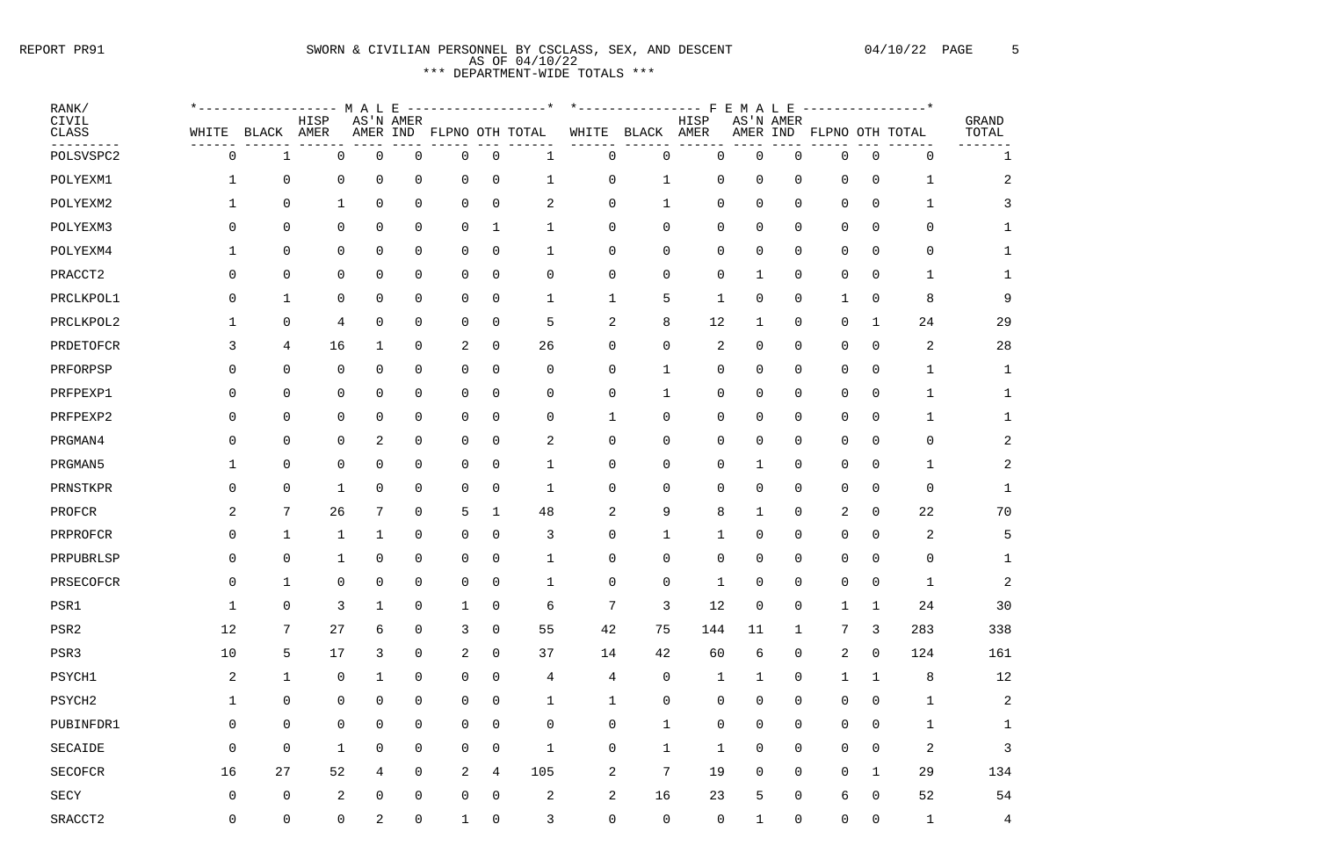#### REPORT PR91 SWORN & CIVILIAN PERSONNEL BY CSCLASS, SEX, AND DESCENT 04/10/22 PAGE 5 AS OF 04/10/22 \*\*\* DEPARTMENT-WI

|                         |                |                                          |                 |                |                                  |                |                | AS OF 04/10/22<br>*** DEPARTMENT-WIDE TOTALS *** |                 |              |              |                |                |                |                |                |                                     |                |
|-------------------------|----------------|------------------------------------------|-----------------|----------------|----------------------------------|----------------|----------------|--------------------------------------------------|-----------------|--------------|--------------|----------------|----------------|----------------|----------------|----------------|-------------------------------------|----------------|
| RANK/<br>CIVIL<br>CLASS | WHITE          | * - - - - - - - - - - - - - - -<br>BLACK | HISP<br>AMER    | M A L E        | AS'N AMER<br>AMER IND            |                |                | FLPNO OTH TOTAL                                  | WHITE           | BLACK        | HISP<br>AMER | FEMALE         | AMER IND       | AS'N AMER      |                |                | ---------------*<br>FLPNO OTH TOTAL | GRAND<br>TOTAL |
| POLSVSPC2               | 0              |                                          |                 | 0              | 0                                | 0              | 0              |                                                  | $\overline{0}$  | 0            |              | 0              | 0              | -0             | $\overline{0}$ | 0              | $\mathbf 0$                         |                |
| POLYEXM1                | 1              | $\overline{0}$                           |                 | 0              | 0<br>$\mathbf 0$                 | 0              | 0              | 1                                                | $\overline{0}$  | 1            |              | $\mathbf 0$    | 0              | 0              | $\mathbf 0$    | $\overline{0}$ | $\mathbf 1$                         | 2              |
| POLYEXM2                |                | $\overline{0}$                           |                 | 1              | $\overline{0}$<br>$\overline{0}$ | $\overline{0}$ | $\overline{0}$ | 2                                                | $\overline{0}$  | $\mathbf 1$  |              | $\overline{0}$ | 0              | $\overline{0}$ | 0              | $\overline{0}$ | $\mathbf 1$                         | 3              |
| POLYEXM3                | 0              |                                          | $\overline{0}$  | 0              | 0<br>0                           | $\overline{0}$ |                |                                                  | $\overline{0}$  | $\mathbf 0$  |              | $\mathbf 0$    | 0              | $\overline{0}$ | $\mathbf 0$    | $\overline{0}$ | $\mathbf 0$                         |                |
| POLYEXM4                | 1              | $\overline{0}$                           |                 | 0              | 0<br>$\mathbf 0$                 | 0              | $\overline{0}$ |                                                  | $\overline{0}$  | $\mathbf 0$  |              | 0              | 0              | $\overline{0}$ | $\mathbf 0$    | $\overline{0}$ | $\overline{0}$                      |                |
| PRACCT2                 | $\mathbf 0$    |                                          | $\overline{0}$  | 0              | 0<br>$\overline{0}$              | 0              | $\mathbf 0$    | $\overline{0}$                                   | $\mathsf{O}$    | $\mathbf 0$  |              | $\mathsf{O}$   |                | $\overline{0}$ | $\mathsf{O}$   | $\overline{0}$ | $\mathbf{1}$                        | 1              |
|                         | $\mathbf 0$    |                                          |                 |                | 0                                |                |                |                                                  |                 |              |              |                | 0              | $\overline{0}$ |                |                | 8                                   |                |
| PRCLKPOL1               | 1              | $\mathbf 1$                              |                 | 0              | $\mathbf 0$<br>0                 | $\overline{0}$ | $\mathbf 0$    |                                                  | $\mathbf{1}$    | 5<br>8       |              | 12             | -1             |                | $\mathsf{O}$   | $\overline{0}$ | 24                                  | 9<br>29        |
| PRCLKPOL2               |                | $\overline{0}$                           |                 | 4              | $\overline{0}$                   | $\overline{0}$ | $\overline{0}$ | 5                                                | 2               |              |              |                |                | $\overline{0}$ |                | $\mathbf{1}$   |                                     |                |
| PRDETOFCR               | 3              |                                          | 4               | 16             | $\overline{0}$                   | 2              | $\overline{0}$ | 26                                               | $\overline{0}$  | $\mathbf 0$  |              | 2              | $\overline{0}$ | $\overline{0}$ | $\mathsf{O}$   | $\overline{0}$ | $\overline{a}$                      | 28             |
| PRFORPSP                | 0              |                                          | $\overline{0}$  | 0              | 0<br>$\mathbf 0$                 | 0              | $\overline{0}$ | $\mathbf 0$                                      | $\overline{0}$  |              |              | $\mathbf 0$    | 0              | $\overline{0}$ | 0              | $\overline{0}$ | $\mathbf{1}$                        |                |
| PRFPEXP1                | $\mathbf 0$    |                                          | $\overline{0}$  | 0              | 0<br>0                           | 0              | $\overline{0}$ | $\mathbf 0$                                      | $\overline{0}$  | 1            |              | 0              | 0              | $\overline{0}$ | $\mathsf{O}$   | $\overline{0}$ | -1                                  |                |
| PRFPEXP2                | $\mathbf 0$    |                                          | $\overline{0}$  | 0              | $\Omega$<br>0                    | 0              | $\mathbf 0$    | $\overline{0}$                                   | $\mathbf{1}$    | $\mathbf 0$  |              | $\overline{0}$ | $\Omega$       | $\overline{0}$ | 0              | $\overline{0}$ | $\mathbf{1}$                        | 1              |
| PRGMAN4                 | $\mathbf 0$    |                                          | $\overline{0}$  | 0              | 2<br>$\overline{0}$              | $\overline{0}$ | $\overline{0}$ | $\overline{a}$                                   | $\overline{0}$  | 0            |              | 0              | $\Omega$       | $\overline{0}$ | $\mathsf{O}$   | $\overline{0}$ | $\overline{0}$                      | $\overline{2}$ |
| PRGMAN5                 | 1              | $\overline{0}$                           |                 | 0              | 0<br>$\overline{0}$              | $\overline{0}$ | $\overline{0}$ | $\mathbf{1}$                                     | $\overline{0}$  | $\mathbf 0$  |              | $\mathbf 0$    | -1             | $\overline{0}$ | $\mathsf{O}$   | $\overline{0}$ | $\mathbf 1$                         | 2              |
| PRNSTKPR                | $\mathsf{O}$   | $\overline{0}$                           |                 | 1              | $\overline{0}$<br>$\overline{0}$ | $\overline{0}$ | $\overline{0}$ | 1                                                | $\overline{0}$  | $\mathbf 0$  |              | $\overline{0}$ | $\overline{0}$ | $\overline{0}$ | $\mathbf 0$    | $\overline{0}$ | $\overline{0}$                      | 1              |
| PROFCR                  | $\overline{a}$ |                                          | 7               | 26<br>7        | $\overline{0}$                   | 5              | $\mathbf 1$    | 48                                               | $\overline{a}$  | 9            |              | 8              |                | $\overline{0}$ | 2              | $\overline{0}$ | 22                                  | 70             |
| PRPROFCR                | $\mathbf 0$    |                                          | $\mathbf 1$     | 1              | $\overline{0}$<br>1              | 0              | $\overline{0}$ | 3                                                | $\overline{0}$  | $\mathbf 1$  |              |                | $\overline{0}$ | $\overline{0}$ | $\overline{0}$ | $\overline{0}$ | $\overline{a}$                      | 5              |
| PRPUBRLSP               | $\overline{0}$ |                                          | $\mathsf{O}$    | $\mathbf{1}$   | $\overline{0}$<br>$\overline{0}$ | $\overline{0}$ | $\overline{0}$ | $\mathbf{1}$                                     | $\overline{0}$  | $\mathbf 0$  |              | $\mathbf 0$    | $\overline{0}$ | $\overline{0}$ | $\overline{0}$ | $\overline{0}$ | $\overline{0}$                      | 1              |
| PRSECOFCR               | $\overline{0}$ |                                          | $\mathbf{1}$    | 0              | $\overline{0}$<br>$\overline{0}$ | $\overline{0}$ | $\overline{0}$ | $\mathbf{1}$                                     | $\overline{0}$  | 0            |              | $\mathbf{1}$   | 0              | $\overline{0}$ | $\overline{0}$ | $\overline{0}$ | $\mathbf{1}$                        | 2              |
| PSR1                    | $\mathbf{1}$   |                                          | $\overline{0}$  | 3              | $\overline{0}$                   | $\mathbf{1}$   | 0              | 6                                                | $7\phantom{.0}$ |              | $\mathsf{3}$ | 12             | $\overline{0}$ | $\mathsf{O}$   | $\mathbf{1}$   | $\mathbf{1}$   | 24                                  | 30             |
| PSR2                    | 12             |                                          | $\overline{7}$  | 27             | 6<br>$\overline{0}$              | 3              | $\overline{0}$ | 55                                               | 42              | 75           |              | 144            | 11             | $\mathbf{1}$   | 7 <sup>7</sup> | $\mathbf{3}$   | 283                                 | 338            |
| PSR3                    | 10             |                                          | $5\phantom{.0}$ | 17             | $\mathsf{3}$<br>$\overline{0}$   | 2              | $\overline{0}$ | 37                                               | 14              | 42           |              | 60             | 6              | $\mathsf{O}$   | $\overline{a}$ | $\overline{0}$ | 124                                 | 161            |
| PSYCH1                  | $\overline{a}$ | $\mathbf{1}$                             |                 | 0              | $\mathsf{O}$                     | $\overline{0}$ | $\mathsf{O}$   | $\overline{4}$                                   | $\overline{4}$  | $\mathsf{O}$ |              | $\mathbf{1}$   | 1              | $\mathsf{O}$   | $\mathbf{1}$   | $\mathbf{1}$   | 8                                   | 12             |
| PSYCH2                  | $\mathbf{1}$   |                                          | $\overline{0}$  | 0              | $\overline{0}$<br>$\overline{0}$ | $\mathbf 0$    | 0              | $\mathbf{1}$                                     | $\mathbf{1}$    | 0            |              | $\mathsf{O}$   | $\overline{0}$ | $\overline{0}$ | 0              | $\overline{0}$ | $\mathbf{1}$                        | 2              |
| PUBINFDR1               | $\overline{0}$ |                                          | $\overline{0}$  | 0              | $\mathsf{O}$<br>$\overline{0}$   | $\overline{0}$ | $\overline{0}$ | $\overline{0}$                                   | $\overline{0}$  | $\mathbf{1}$ |              | $\mathsf{O}$   | 0              | $\mathsf{O}$   | $\overline{0}$ | $\overline{0}$ | $\mathbf{1}$                        | $\mathbf 1$    |
| SECAIDE                 | $\overline{0}$ |                                          | $\overline{0}$  | $\mathbf{1}$   | $\overline{0}$<br>$\mathsf{O}$   | $\overline{0}$ | $\overline{0}$ | $\mathbf{1}$                                     | $\overline{0}$  | $\mathbf{1}$ |              | $\mathbf{1}$   | $\overline{0}$ | $\overline{0}$ | 0              | $\overline{0}$ | $\overline{a}$                      | $\mathbf{3}$   |
| SECOFCR                 | 16             | 27                                       |                 | 52             | $\mathsf{O}$<br>4                | 2              | 4              | 105                                              | $\overline{a}$  | 7            |              | 19             | $\overline{0}$ | $\overline{0}$ | $\overline{0}$ | $\mathbf{1}$   | 29                                  | 134            |
| SECY                    | $\overline{0}$ |                                          | $\overline{0}$  | $\overline{a}$ | $\overline{0}$<br>$\mathsf{O}$   | $\overline{0}$ | $\mathsf{O}$   | $\overline{a}$                                   | $\overline{a}$  | 16           |              | 23             | 5              | $\overline{0}$ | 6              | $\overline{0}$ | 52                                  | 54             |
| CDACCTO                 |                |                                          |                 |                |                                  |                |                |                                                  |                 |              |              |                |                |                |                |                |                                     |                |

| POLSVSPC2      | 0              | 1                   | 0              | 0              | $\overline{0}$ | 0                   | $\overline{0}$      | 1                   | $\overline{0}$ | $\mathbf 0$      | $\mathbf 0$         | $\overline{0}$ | 0                   | 0           | $\overline{0}$ | $\overline{0}$ |                |
|----------------|----------------|---------------------|----------------|----------------|----------------|---------------------|---------------------|---------------------|----------------|------------------|---------------------|----------------|---------------------|-------------|----------------|----------------|----------------|
| POLYEXM1       | $\mathbf 1$    | 0                   | 0              | $\overline{0}$ | $\overline{0}$ | 0                   | 0                   | 1                   | 0              | 1                | 0                   | $\mathbf 0$    | 0                   | 0           | $\overline{0}$ | 1              |                |
| POLYEXM2       | $\mathbf{1}$   | $\mathsf 0$         | 1              | 0              | $\mathsf 0$    | 0                   | $\overline{0}$      | $\overline{2}$      | $\mathsf 0$    | 1                | $\mathsf 0$         | $\mathbf 0$    | 0                   | 0           | $\mathbf 0$    | 1              |                |
| POLYEXM3       | $\mathsf{O}$   | 0                   | 0              | 0              | 0              | 0                   | 1                   | 1                   | 0              | $\overline{0}$   | 0                   | $\mathbf 0$    | $\mathsf 0$         | 0           | $\mathbf 0$    | $\mathsf 0$    |                |
| POLYEXM4       | 1              | $\mathsf 0$         | 0              | $\mathbf 0$    | $\mathsf 0$    | 0                   | $\mathsf 0$         | 1                   | $\mathsf{O}$   | $\boldsymbol{0}$ | $\mathsf 0$         | 0              | 0                   | 0           | $\mathbf 0$    | $\mathsf 0$    |                |
| PRACCT2        | $\mathsf{O}$   | $\mathsf 0$         | $\overline{0}$ | $\mathsf 0$    | $\mathsf 0$    | 0                   | $\mathsf 0$         | $\mathbf 0$         | $\mathsf 0$    | $\mathsf 0$      | $\mathsf 0$         | $\mathbf 1$    | $\mathsf 0$         | 0           | $\mathbf 0$    | $\mathbf{1}$   |                |
| PRCLKPOL1      | $\mathsf{O}$   | $\mathbf{1}$        | $\mathbf 0$    | $\mathsf 0$    | $\mathsf 0$    | 0                   | $\mathsf 0$         | $\mathbf 1$         | $\mathbf 1$    | 5                | $\mathbf 1$         | $\mathsf 0$    | $\mathsf 0$         | 1           | $\mathbf 0$    | 8              |                |
| PRCLKPOL2      | $\mathbf{1}$   | 0                   | 4              | $\mathsf{O}$   | 0              | 0                   | 0                   | 5                   | $\overline{a}$ | 8                | 12                  | 1              | 0                   | 0           | $\mathbf 1$    | 24             | 29             |
| PRDETOFCR      | 3              | $\overline{4}$      | 16             | 1              | $\mathsf 0$    | 2                   | 0                   | 26                  | $\mathbf 0$    | $\mathsf 0$      | $\overline{a}$      | $\mathbf 0$    | $\mathsf 0$         | 0           | $\overline{0}$ | $\sqrt{2}$     | 28             |
| PRFORPSP       | 0              | $\mathsf 0$         | $\mathbf 0$    | 0              | $\overline{0}$ | 0                   | $\overline{0}$      | $\mathbf 0$         | 0              | 1                | $\mathsf 0$         | $\mathsf 0$    | $\mathsf 0$         | 0           | $\overline{0}$ | $\mathbf 1$    |                |
| PRFPEXP1       | $\overline{0}$ | $\mathsf 0$         | 0              | 0              | $\mathsf 0$    | 0                   | 0                   | $\mathsf{O}$        | 0              | 1                | 0                   | $\mathbf 0$    | 0                   | 0           | $\overline{0}$ | 1              |                |
| PRFPEXP2       | $\mathsf{O}$   | $\mathsf 0$         | $\mathbf 0$    | 0              | $\mathsf 0$    | $\mathsf{O}\xspace$ | $\mathsf 0$         | $\mathsf{O}\xspace$ | $\mathbf{1}$   | $\mathsf 0$      | $\mathsf 0$         | $\mathbf 0$    | $\mathsf 0$         | 0           | $\mathbf 0$    | $\mathbf 1$    |                |
| PRGMAN4        | $\mathsf{O}$   | $\mathbf 0$         | $\mathbf 0$    | 2              | $\mathsf 0$    | 0                   | $\overline{0}$      | $\sqrt{2}$          | $\mathbf 0$    | $\overline{0}$   | 0                   | $\mathsf 0$    | 0                   | 0           | $\mathbf 0$    | $\mathsf 0$    |                |
| PRGMAN5        | $\mathbf{1}$   | $\mathsf 0$         | 0              | 0              | $\mathsf 0$    | 0                   | 0                   | 1                   | 0              | $\mathsf 0$      | $\mathsf 0$         | $\mathbf{1}$   | $\mathsf 0$         | 0           | $\overline{0}$ | 1              |                |
| PRNSTKPR       | $\mathsf{O}$   | $\mathsf 0$         | $\mathbf 1$    | $\mathsf{O}$   | 0              | 0                   | 0                   | 1                   | 0              | $\overline{0}$   | $\mathsf 0$         | 0              | 0                   | 0           | $\mathbf 0$    | $\mathsf 0$    |                |
| PROFCR         | 2              | 7                   | 26             | 7              | $\mathsf 0$    | 5                   | 1                   | 48                  | 2              | 9                | 8                   | 1              | $\mathsf 0$         | 2           | $\overline{0}$ | 22             | 70             |
| PRPROFCR       | $\mathsf{O}$   | 1                   | 1              | 1              | $\mathsf 0$    | 0                   | $\mathsf 0$         | 3                   | $\mathsf{O}$   | 1                | 1                   | $\mathsf 0$    | 0                   | 0           | $\mathbf 0$    | $\sqrt{2}$     |                |
| PRPUBRLSP      | $\mathbf 0$    | $\mathbf 0$         | 1              | $\mathsf 0$    | $\mathsf 0$    | 0                   | $\mathsf 0$         |                     | $\mathsf{O}$   | $\mathsf 0$      | $\mathsf 0$         | $\mathbf 0$    | $\mathsf 0$         | 0           | $\mathbf 0$    | $\overline{0}$ |                |
| PRSECOFCR      | $\mathsf{O}$   | $\mathbf{1}$        | 0              | $\mathbf 0$    | $\mathsf 0$    | 0                   | $\overline{0}$      | $\mathbf 1$         | 0              | $\mathsf 0$      | $1\,$               | $\mathsf 0$    | $\mathsf 0$         | 0           | $\mathbf 0$    | $\mathbf 1$    |                |
| PSR1           | $\mathbf{1}$   | $\mathsf 0$         | 3              | 1              | 0              | $\mathbf{1}$        | $\mathsf 0$         | 6                   | 7              | 3                | 12                  | $\mathsf 0$    | 0                   | $\mathbf 1$ | $\mathbf 1$    | 24             | 30             |
| PSR2           | 12             | 7                   | 27             | 6              | $\Omega$       | 3                   | $\Omega$            | 55                  | 42             | 75               | 144                 | 11             |                     | 7           | 3              | 283            | 338            |
| PSR3           | $10$           | 5                   | 17             | 3              | 0              | 2                   | 0                   | 37                  | 14             | 42               | 60                  | 6              | $\mathsf 0$         | 2           | 0              | 124            | 161            |
| PSYCH1         | 2              | $\mathbf 1$         | $\mathsf{O}$   | $\mathbf{1}$   | 0              | 0                   | 0                   | 4                   | $\overline{4}$ | $\mathsf 0$      | $\mathbf 1$         | $\mathbf 1$    | 0                   | $\mathbf 1$ | $\mathbf 1$    | $\,8\,$        | 12             |
| PSYCH2         | $\mathbf 1$    | $\mathsf{O}\xspace$ | $\mathsf{O}$   | $\overline{0}$ | 0              | $\overline{0}$      | 0                   | 1                   | $\mathbf 1$    | $\mathsf 0$      | $\overline{0}$      | $\mathsf{O}$   | $\mathsf{O}$        | 0           | $\mathsf 0$    | $\mathbf 1$    | $\overline{a}$ |
| PUBINFDR1      | $\mathsf 0$    | $\mathsf{O}$        | $\mathsf{O}$   | 0              | 0              | $\mathsf{O}$        | 0                   | $\overline{0}$      | $\mathsf{O}$   | $\mathbf 1$      | $\mathsf{O}\xspace$ | 0              | $\mathsf{O}$        | 0           | $\overline{0}$ | $\mathbf 1$    | 1              |
| SECAIDE        | $\mathsf 0$    | $\mathsf{O}\xspace$ | $\mathbf 1$    | $\mathsf{O}$   | $\overline{0}$ | $\mathsf 0$         | $\mathsf{O}$        | $\mathbf 1$         | $\mathsf{O}$   | $\mathbf 1$      | $1\,$               | $\mathsf{O}$   | $\mathsf{O}\xspace$ | 0           | $\mathsf 0$    | $\sqrt{2}$     | 3              |
| <b>SECOFCR</b> | 16             | $2\,7$              | 52             | $\overline{4}$ | $\mathsf{O}$   | $\overline{a}$      | $\overline{4}$      | 105                 | $\overline{a}$ | $\overline{7}$   | 19                  | $\mathsf{O}$   | $\mathsf{O}$        | 0           | $\mathbf{1}$   | 29             | 134            |
| SECY           | $\mathsf 0$    | $\,0\,$             | $\mathbf{2}$   | 0              | $\mathsf{O}$   | $\boldsymbol{0}$    | 0                   | $\overline{2}$      | $\mathbf{2}$   | 16               | 23                  | 5              | $\mathsf 0$         | 6           | $\mathsf 0$    | 52             | 54             |
| SRACCT2        | $\mathsf 0$    | $\mathsf{O}\xspace$ | $\mathsf{O}$   | $\overline{2}$ | 0              | $\mathbf{1}$        | $\mathsf{O}\xspace$ | 3                   | $\mathsf{O}$   | $\mathsf{O}$     | $\mathsf{O}\xspace$ | -1             | $\mathsf 0$         | 0           | $\mathbf 0$    | $\mathbf{1}$   | $\overline{4}$ |

| μ<br>л<br>٠. |  |  |
|--------------|--|--|
|              |  |  |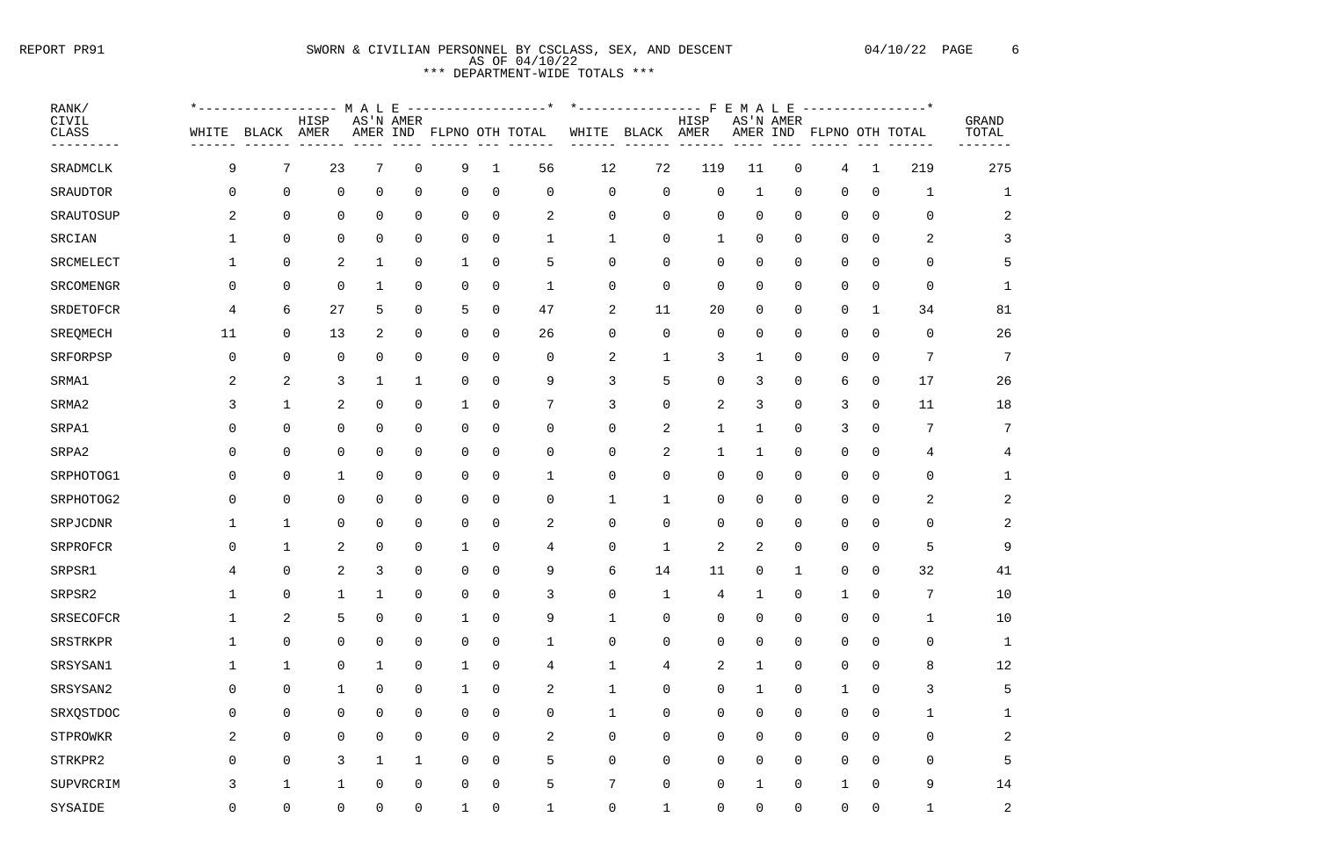# REPORT PR91 SWORN & CIVILIAN PERSONNEL BY CSCLASS, SEX, AND DESCENT 04/10/22 PAGE 6 AS OF 04/10/22 \*\*\* DEPARTMENT-WIDE TOTALS \*\*\*

| RANK/          |                |                | *----------------- M A L E |                |                |                          |                |                |                | -----------------* *-------------- F E M A L E ---------------* |                |                |           |                |                          |                |                |                |
|----------------|----------------|----------------|----------------------------|----------------|----------------|--------------------------|----------------|----------------|----------------|-----------------------------------------------------------------|----------------|----------------|-----------|----------------|--------------------------|----------------|----------------|----------------|
| CIVIL<br>CLASS | WHITE          | BLACK AMER     | HISP                       |                | AS'N AMER      | AMER IND FLPNO OTH TOTAL |                |                | WHITE          | BLACK                                                           | HISP<br>AMER   |                | AS'N AMER |                | AMER IND FLPNO OTH TOTAL |                |                | GRAND<br>TOTAL |
| ---------      | ----           | 7              | -------<br>23              | 7              |                |                          |                | 56             | 12             | 72                                                              |                |                |           |                |                          |                | ------<br>219  | -------<br>275 |
| SRADMCLK       | 9              |                |                            |                | $\overline{0}$ | 9                        | $\mathbf{1}$   |                |                |                                                                 | 119            | 11             |           | $\overline{0}$ | $\overline{4}$           | $\mathbf{1}$   |                |                |
| SRAUDTOR       | $\overline{0}$ | $\overline{0}$ | $\overline{0}$             | $\overline{0}$ | $\overline{0}$ | $\overline{0}$           | $\overline{0}$ | $\overline{0}$ | 0              | $\overline{0}$                                                  | $\mathbf 0$    | $\mathbf 1$    |           | $\overline{0}$ | 0                        | $\overline{0}$ | $\mathbf{1}$   | $\mathbf{1}$   |
| SRAUTOSUP      | 2              | $\overline{0}$ | $\overline{0}$             | 0              | 0              | 0                        | $\overline{0}$ | 2              | 0              | 0                                                               | $\overline{0}$ | 0              |           | $\overline{0}$ | 0                        | 0              | 0              | $\overline{2}$ |
| SRCIAN         |                | $\overline{0}$ | 0                          | 0              | 0              | 0                        | $\overline{0}$ | $\mathbf{1}$   | $\mathbf{1}$   | $\mathbf 0$                                                     | 1              | 0              |           | 0              | 0                        | 0              | 2              | 3              |
| SRCMELECT      |                | $\overline{0}$ | 2                          |                | 0              | -1                       | $\overline{0}$ | 5              | 0              | $\mathbf 0$                                                     | 0              | 0              |           | $\overline{0}$ | 0                        | 0              | $\Omega$       | -5             |
| SRCOMENGR      | $\mathbf 0$    | 0              | $\overline{0}$             | 1              | 0              | 0                        | $\overline{0}$ | $\mathbf{1}$   | 0              | 0                                                               | $\overline{0}$ | $\overline{0}$ |           | $\overline{0}$ | 0                        | $\mathbf 0$    | $\overline{0}$ |                |
| SRDETOFCR      | 4              | 6              | 27                         | 5              | $\overline{0}$ | 5                        | $\overline{0}$ | 47             | $\overline{a}$ | 11                                                              | 20             | $\overline{0}$ |           | $\mathbf 0$    | $\mathsf{O}$             | $\mathbf 1$    | 34             | 81             |
| SREQMECH       | 11             | $\overline{0}$ | 13                         | 2              | $\overline{0}$ | $\overline{0}$           | $\overline{0}$ | 26             | 0              | $\mathbf 0$                                                     | $\overline{0}$ | $\overline{0}$ |           | $\overline{0}$ | 0                        | $\overline{0}$ | 0              | 26             |
| SRFORPSP       | $\mathbf 0$    | $\overline{0}$ | $\overline{0}$             | 0              | 0              | 0                        | $\overline{0}$ | $\overline{0}$ | $\overline{a}$ | $\mathbf 1$                                                     | 3              |                |           | $\overline{0}$ | 0                        | $\overline{0}$ | 7              | 7              |
| SRMA1          | 2              | 2              | 3                          |                |                | 0                        | $\overline{0}$ | 9              | $\mathfrak{Z}$ | 5                                                               | 0              |                |           | $\overline{0}$ | 6                        | 0              | 17             | 26             |
| SRMA2          | 3              | 1              | 2                          | 0              | 0              | -1                       | $\overline{0}$ | 7              | 3              | $\overline{0}$                                                  | 2              | 3              |           | $\overline{0}$ | 3                        | $\overline{0}$ | 11             | 18             |
| SRPA1          | 0              | 0              | 0                          | 0              | 0              | 0                        | $\overline{0}$ | 0              | $\mathsf{O}$   | 2                                                               | $\mathbf{1}$   | 1              |           | $\mathbf 0$    | 3                        | $\overline{0}$ | 7              | 7              |
| SRPA2          | 0              | 0              | $\overline{0}$             | 0              | $\overline{0}$ | 0                        | $\overline{0}$ | $\overline{0}$ | 0              | 2                                                               | 1              | 1              |           | $\overline{0}$ | $\overline{0}$           | $\overline{0}$ | 4              | 4              |
| SRPHOTOG1      | $\mathbf 0$    | $\overline{0}$ | 1                          | 0              | $\overline{0}$ | $\overline{0}$           | $\overline{0}$ | $\mathbf{1}$   | 0              | $\overline{0}$                                                  | $\overline{0}$ | $\overline{0}$ |           | $\overline{0}$ | 0                        | $\overline{0}$ | 0              |                |
| SRPHOTOG2      | 0              | 0              | 0                          | 0              | 0              | 0                        | $\overline{0}$ | 0              | $\mathbf 1$    | $\mathbf 1$                                                     | $\overline{0}$ | 0              |           | $\overline{0}$ | 0                        | $\overline{0}$ | 2              | 2              |
| SRPJCDNR       |                | $\mathbf{1}$   | 0                          | 0              | 0              | 0                        | $\overline{0}$ | 2              | $\mathbf 0$    | $\overline{0}$                                                  | 0              | 0              |           | 0              | 0                        | 0              | 0              | $\overline{2}$ |
| SRPROFCR       | 0              |                | 2                          | 0              | 0              |                          | $\overline{0}$ | 4              | 0              | $\mathbf{1}$                                                    | 2              | 2              |           | 0              | 0                        | $\Omega$       | 5              | 9              |
| SRPSR1         | 4              | 0              | $\overline{2}$             | 3              | 0              | 0                        | $\mathsf{O}$   | 9              | 6              | 14                                                              | 11             | 0              |           | $\mathbf 1$    | 0                        | $\mathbf 0$    | 32             | 41             |
| SRPSR2         |                | 0              |                            |                | 0              | 0                        | $\overline{0}$ | 3              | $\mathbf 0$    |                                                                 | 4              |                |           | 0              |                          | 0              |                | $10$           |
| SRSECOFCR      | $\mathbf 1$    | $\overline{a}$ | 5                          | 0              | 0              | $\mathbf 1$              | $\mathsf{O}$   | 9              | $\mathbf{1}$   | $\mathbf 0$                                                     | $\mathbf 0$    | $\overline{0}$ |           | $\mathbf 0$    | $\mathsf{O}$             | $\overline{0}$ |                | $10$           |
| SRSTRKPR       | $\mathbf{1}$   | $\mathbf 0$    | 0                          | 0              | 0              | 0                        | $\overline{0}$ | $\mathbf{1}$   | $\mathsf 0$    | 0                                                               | 0              | $\mathbf 0$    |           | $\mathsf{O}$   | $\overline{0}$           | $\overline{0}$ | $\mathbf 0$    | $\mathbf 1$    |
| SRSYSAN1       | $\mathbf 1$    | $\mathbf{1}$   | 0                          | $\mathbf{1}$   | 0              | 1                        | $\mathbf 0$    | 4              | $\mathbf{1}$   | 4                                                               | 2              | 1              |           | $\mathbf 0$    | $\mathsf{O}$             | $\overline{0}$ | 8              | 12             |
| SRSYSAN2       | $\mathsf{O}$   | 0              | $\mathbf{1}$               | 0              | $\overline{0}$ | $\mathbf 1$              | $\overline{0}$ | 2              | $\mathbf{1}$   | $\overline{0}$                                                  | $\mathbf 0$    | 1              |           | $\mathbf 0$    | 1                        | $\overline{0}$ | 3              | 5              |
| SRXQSTDOC      | $\mathsf 0$    | $\overline{0}$ | 0                          | 0              | 0              | 0                        | $\mathsf{O}$   | 0              | $\mathbf{1}$   | 0                                                               | $\mathsf{O}$   | $\mathbf 0$    |           | $\mathbf 0$    | 0                        | $\mathsf{O}$   |                | ᅩ              |
| STPROWKR       | 2              | $\mathbf 0$    | 0                          | 0              | 0              | 0                        | $\overline{0}$ | 2              | 0              | 0                                                               | $\mathbf 0$    | $\mathbf 0$    |           | $\mathsf{O}$   | $\mathsf{O}$             | $\overline{0}$ | $\mathbf 0$    | $\overline{a}$ |
| STRKPR2        | $\mathsf{O}$   | 0              | 3                          | $\mathbf{1}$   | 1              | 0                        | $\overline{0}$ | 5              | 0              | $\mathsf{O}$                                                    | 0              | $\overline{0}$ |           | $\mathbf 0$    | $\mathsf{O}$             | $\overline{0}$ | 0              | 5              |
| SUPVRCRIM      | 3              | $\mathbf{1}$   | $\mathbf 1$                | 0              | 0              | 0                        | $\overline{0}$ | 5              | $\overline{7}$ | 0                                                               | 0              | -1             |           | $\mathsf{O}$   |                          | $\overline{0}$ | 9              | 14             |
| SYSAIDE        | $\mathsf{O}$   | 0              | 0                          | 0              | 0              | 1                        | $\mathbf 0$    | $\mathbf{1}$   | $\mathsf{O}$   | $\mathbf{1}$                                                    | $\mathbf 0$    | $\mathbf 0$    |           | $\mathbf 0$    | $\mathbf 0$              | $\mathbf 0$    |                | 2              |